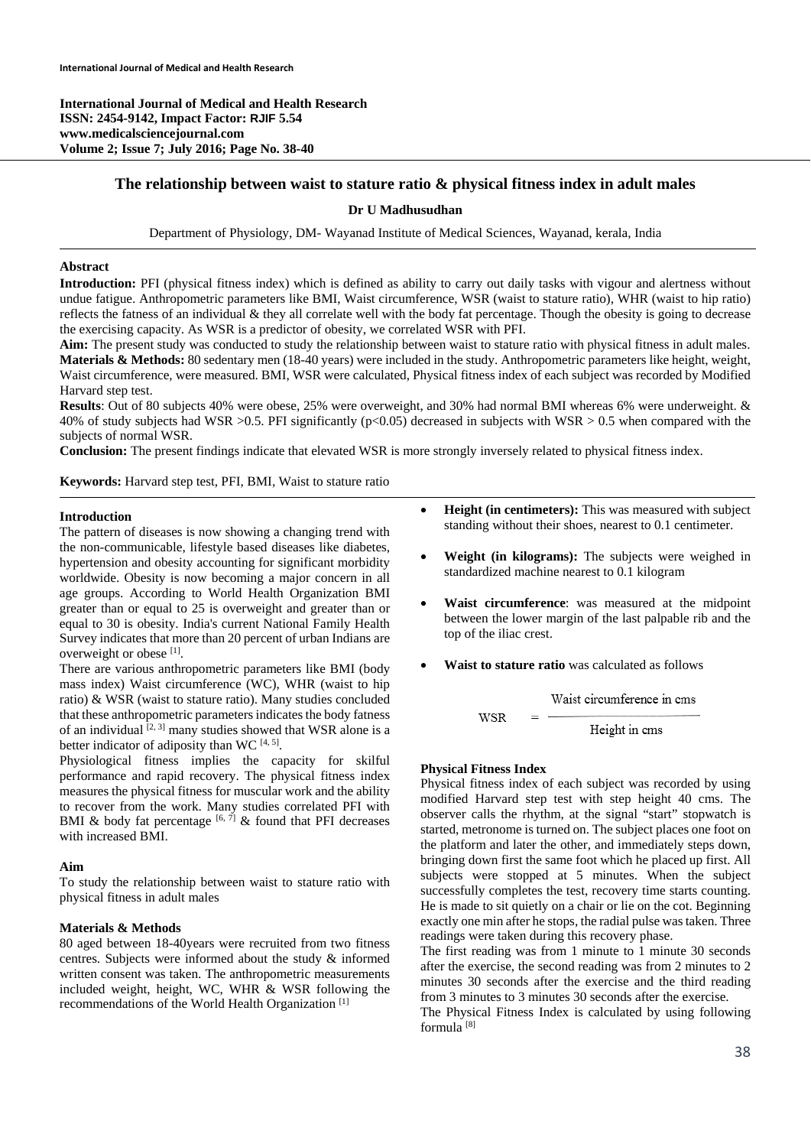**International Journal of Medical and Health Research ISSN: 2454-9142, Impact Factor: RJIF 5.54 www.medicalsciencejournal.com Volume 2; Issue 7; July 2016; Page No. 38-40** 

# **The relationship between waist to stature ratio & physical fitness index in adult males**

## **Dr U Madhusudhan**

Department of Physiology, DM- Wayanad Institute of Medical Sciences, Wayanad, kerala, India

## **Abstract**

**Introduction:** PFI (physical fitness index) which is defined as ability to carry out daily tasks with vigour and alertness without undue fatigue. Anthropometric parameters like BMI, Waist circumference, WSR (waist to stature ratio), WHR (waist to hip ratio) reflects the fatness of an individual & they all correlate well with the body fat percentage. Though the obesity is going to decrease the exercising capacity. As WSR is a predictor of obesity, we correlated WSR with PFI.

**Aim:** The present study was conducted to study the relationship between waist to stature ratio with physical fitness in adult males. **Materials & Methods:** 80 sedentary men (18-40 years) were included in the study. Anthropometric parameters like height, weight, Waist circumference, were measured. BMI, WSR were calculated, Physical fitness index of each subject was recorded by Modified Harvard step test.

**Results**: Out of 80 subjects 40% were obese, 25% were overweight, and 30% had normal BMI whereas 6% were underweight. & 40% of study subjects had WSR >0.5. PFI significantly ( $p<0.05$ ) decreased in subjects with WSR > 0.5 when compared with the subjects of normal WSR.

**Conclusion:** The present findings indicate that elevated WSR is more strongly inversely related to physical fitness index.

**Keywords:** Harvard step test, PFI, BMI, Waist to stature ratio

#### **Introduction**

The pattern of diseases is now showing a changing trend with the non-communicable, lifestyle based diseases like diabetes, hypertension and obesity accounting for significant morbidity worldwide. Obesity is now becoming a major concern in all age groups. According to World Health Organization BMI greater than or equal to 25 is overweight and greater than or equal to 30 is obesity. India's current National Family Health Survey indicates that more than 20 percent of urban Indians are overweight or obese [1].

There are various anthropometric parameters like BMI (body mass index) Waist circumference (WC), WHR (waist to hip ratio) & WSR (waist to stature ratio). Many studies concluded that these anthropometric parameters indicates the body fatness of an individual  $[2, 3]$  many studies showed that WSR alone is a better indicator of adiposity than WC  $[4, 5]$ .

Physiological fitness implies the capacity for skilful performance and rapid recovery. The physical fitness index measures the physical fitness for muscular work and the ability to recover from the work. Many studies correlated PFI with BMI & body fat percentage  $[6, 7]$  & found that PFI decreases with increased BMI.

## **Aim**

To study the relationship between waist to stature ratio with physical fitness in adult males

## **Materials & Methods**

80 aged between 18-40years were recruited from two fitness centres. Subjects were informed about the study & informed written consent was taken. The anthropometric measurements included weight, height, WC, WHR & WSR following the recommendations of the World Health Organization [1]

- **Height (in centimeters):** This was measured with subject standing without their shoes, nearest to 0.1 centimeter.
- **Weight (in kilograms):** The subjects were weighed in standardized machine nearest to 0.1 kilogram
- **Waist circumference**: was measured at the midpoint between the lower margin of the last palpable rib and the top of the iliac crest.
- **Waist to stature ratio** was calculated as follows

Waist circumference in cms WSR Height in cms

## **Physical Fitness Index**

Physical fitness index of each subject was recorded by using modified Harvard step test with step height 40 cms. The observer calls the rhythm, at the signal "start" stopwatch is started, metronome is turned on. The subject places one foot on the platform and later the other, and immediately steps down, bringing down first the same foot which he placed up first. All subjects were stopped at 5 minutes. When the subject successfully completes the test, recovery time starts counting. He is made to sit quietly on a chair or lie on the cot. Beginning exactly one min after he stops, the radial pulse was taken. Three readings were taken during this recovery phase.

The first reading was from 1 minute to 1 minute 30 seconds after the exercise, the second reading was from 2 minutes to 2 minutes 30 seconds after the exercise and the third reading from 3 minutes to 3 minutes 30 seconds after the exercise.

The Physical Fitness Index is calculated by using following formula [8]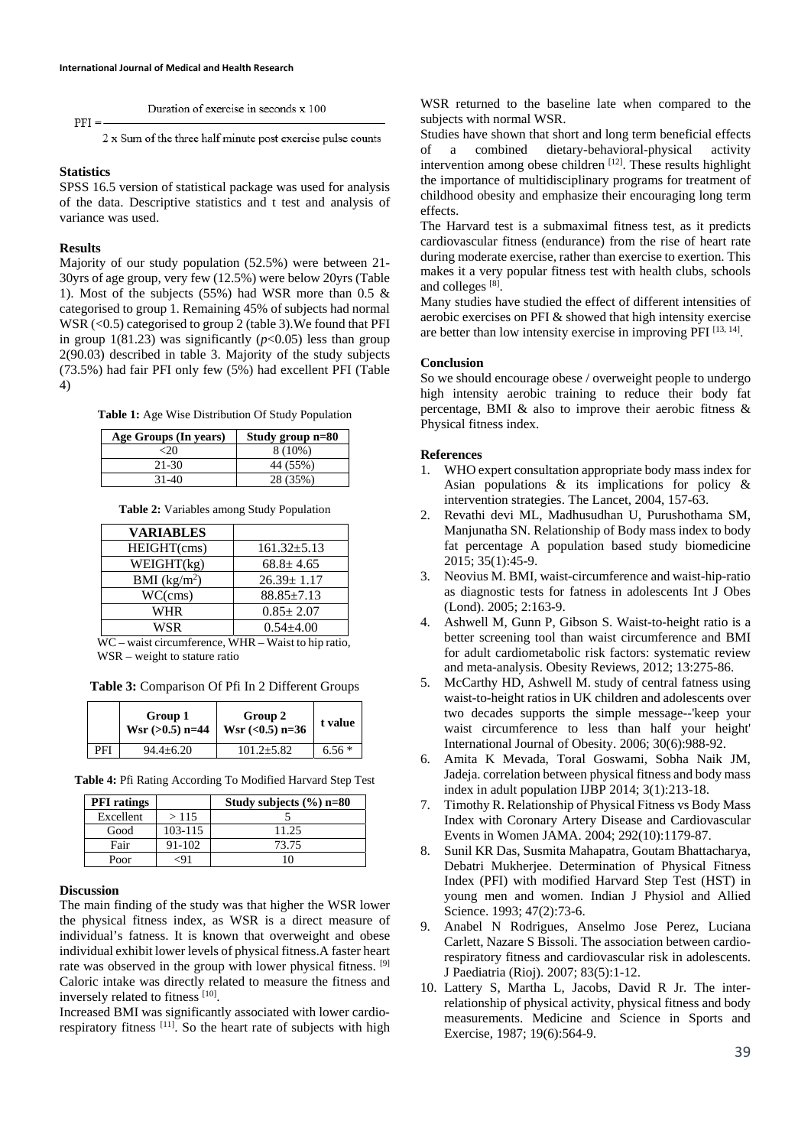Duration of exercise in seconds x 100

2 x Sum of the three half minute post exercise pulse counts

#### **Statistics**

 $PFI =$ 

SPSS 16.5 version of statistical package was used for analysis of the data. Descriptive statistics and t test and analysis of variance was used.

#### **Results**

Majority of our study population (52.5%) were between 21- 30yrs of age group, very few (12.5%) were below 20yrs (Table 1). Most of the subjects (55%) had WSR more than 0.5 & categorised to group 1. Remaining 45% of subjects had normal WSR (<0.5) categorised to group 2 (table 3). We found that PFI in group  $1(81.23)$  was significantly  $(p<0.05)$  less than group 2(90.03) described in table 3. Majority of the study subjects (73.5%) had fair PFI only few (5%) had excellent PFI (Table 4)

**Table 1:** Age Wise Distribution Of Study Population

| Age Groups (In years) | Study group n=80 |
|-----------------------|------------------|
|                       | $8(10\%)$        |
| $21 - 30$             | 44 (55%)         |
| $31-40$               | 28 (35%)         |

**Table 2:** Variables among Study Population

| <b>VARIABLES</b> |                   |
|------------------|-------------------|
| HEIGHT(cms)      | $161.32 \pm 5.13$ |
| WEIGHT(kg)       | $68.8 \pm 4.65$   |
| BMI $(kg/m2)$    | $26.39 \pm 1.17$  |
| WC(cms)          | $88.85 \pm 7.13$  |
| WHR              | $0.85 \pm 2.07$   |
| <b>WSR</b>       | $0.54 + 4.00$     |

WC – waist circumference, WHR – Waist to hip ratio, WSR – weight to stature ratio

**Table 3:** Comparison Of Pfi In 2 Different Groups

|     | Group 1<br>$Wsr$ (>0.5) n=44 | Group 2<br>Wsr $(0.5)$ n=36 | t value |
|-----|------------------------------|-----------------------------|---------|
| PFI | $94.4 \pm 6.20$              | $101.2 \pm 5.82$            | $6.56*$ |

**Table 4:** Pfi Rating According To Modified Harvard Step Test

| <b>PFI</b> ratings |             | Study subjects $(\% )$ n=80 |
|--------------------|-------------|-----------------------------|
| Excellent          | >115        |                             |
| Good               | $103 - 115$ | 11.25                       |
| Fair               | 91-102      | 73.75                       |
| Poor               | -91         | 10                          |

#### **Discussion**

The main finding of the study was that higher the WSR lower the physical fitness index, as WSR is a direct measure of individual's fatness. It is known that overweight and obese individual exhibit lower levels of physical fitness.A faster heart rate was observed in the group with lower physical fitness. [9] Caloric intake was directly related to measure the fitness and inversely related to fitness [10].

Increased BMI was significantly associated with lower cardiorespiratory fitness <sup>[11]</sup>. So the heart rate of subjects with high WSR returned to the baseline late when compared to the subjects with normal WSR.

Studies have shown that short and long term beneficial effects of a combined dietary-behavioral-physical activity intervention among obese children  $[12]$ . These results highlight the importance of multidisciplinary programs for treatment of childhood obesity and emphasize their encouraging long term effects.

The Harvard test is a submaximal fitness test, as it predicts cardiovascular fitness (endurance) from the rise of heart rate during moderate exercise, rather than exercise to exertion. This makes it a very popular fitness test with health clubs, schools and colleges [8].

Many studies have studied the effect of different intensities of aerobic exercises on PFI & showed that high intensity exercise are better than low intensity exercise in improving PFI  $^{[13, 14]}$ .

## **Conclusion**

So we should encourage obese / overweight people to undergo high intensity aerobic training to reduce their body fat percentage, BMI & also to improve their aerobic fitness & Physical fitness index.

#### **References**

- 1. WHO expert consultation appropriate body mass index for Asian populations & its implications for policy & intervention strategies. The Lancet, 2004, 157-63.
- 2. Revathi devi ML, Madhusudhan U, Purushothama SM, Manjunatha SN. Relationship of Body mass index to body fat percentage A population based study biomedicine 2015; 35(1):45-9.
- 3. Neovius M. BMI, waist-circumference and waist-hip-ratio as diagnostic tests for fatness in adolescents Int J Obes (Lond). 2005; 2:163-9.
- 4. Ashwell M, Gunn P, Gibson S. Waist-to-height ratio is a better screening tool than waist circumference and BMI for adult cardiometabolic risk factors: systematic review and meta-analysis. Obesity Reviews, 2012; 13:275-86.
- 5. McCarthy HD, Ashwell M. study of central fatness using waist-to-height ratios in UK children and adolescents over two decades supports the simple message--'keep your waist circumference to less than half your height' International Journal of Obesity. 2006; 30(6):988-92.
- 6. Amita K Mevada, Toral Goswami, Sobha Naik JM, Jadeja. correlation between physical fitness and body mass index in adult population IJBP 2014; 3(1):213-18.
- 7. Timothy R. Relationship of Physical Fitness vs Body Mass Index with Coronary Artery Disease and Cardiovascular Events in Women JAMA. 2004; 292(10):1179-87.
- 8. Sunil KR Das, Susmita Mahapatra, Goutam Bhattacharya, Debatri Mukherjee. Determination of Physical Fitness Index (PFI) with modified Harvard Step Test (HST) in young men and women. Indian J Physiol and Allied Science. 1993; 47(2):73-6.
- 9. Anabel N Rodrigues, Anselmo Jose Perez, Luciana Carlett, Nazare S Bissoli. The association between cardiorespiratory fitness and cardiovascular risk in adolescents. J Paediatria (Rioj). 2007; 83(5):1-12.
- 10. Lattery S, Martha L, Jacobs, David R Jr. The interrelationship of physical activity, physical fitness and body measurements. Medicine and Science in Sports and Exercise, 1987; 19(6):564-9.